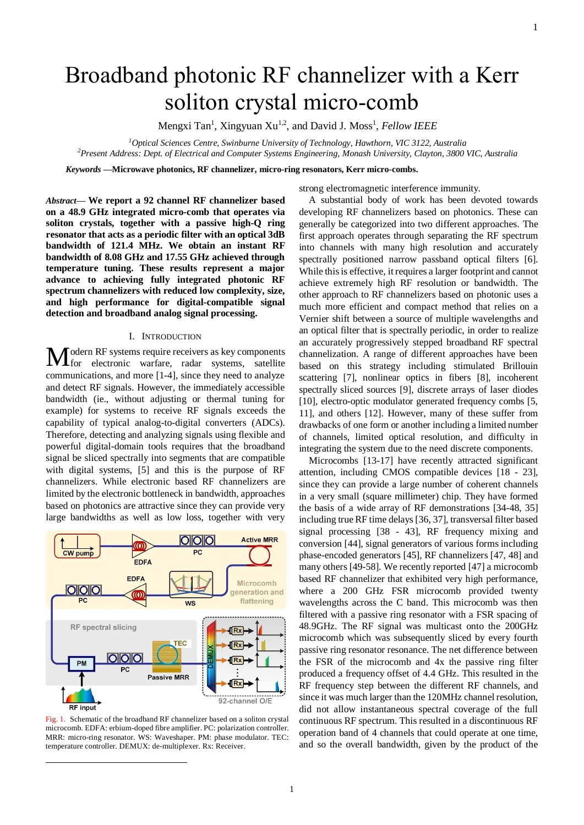# Broadband photonic RF channelizer with a Kerr soliton crystal micro-comb

Mengxi Tan<sup>1</sup>, Xingyuan Xu<sup>1,2</sup>, and David J. Moss<sup>1</sup>, Fellow IEEE

*<sup>1</sup>Optical Sciences Centre, Swinburne University of Technology, Hawthorn, VIC 3122, Australia <sup>2</sup>Present Address: Dept. of Electrical and Computer Systems Engineering, Monash University, Clayton, 3800 VIC, Australia*

*Keywords* **—Microwave photonics, RF channelizer, micro-ring resonators, Kerr micro-combs.**

*Abstract***— We report a 92 channel RF channelizer based on a 48.9 GHz integrated micro-comb that operates via soliton crystals, together with a passive high-Q ring resonator that acts as a periodic filter with an optical 3dB bandwidth of 121.4 MHz. We obtain an instant RF bandwidth of 8.08 GHz and 17.55 GHz achieved through temperature tuning. These results represent a major advance to achieving fully integrated photonic RF spectrum channelizers with reduced low complexity, size, and high performance for digital-compatible signal detection and broadband analog signal processing.**

## I. INTRODUCTION

odern RF systems require receivers as key components **M** odern RF systems require receivers as key components<br>for electronic warfare, radar systems, satellite communications, and more [1-4], since they need to analyze and detect RF signals. However, the immediately accessible bandwidth (ie., without adjusting or thermal tuning for example) for systems to receive RF signals exceeds the capability of typical analog-to-digital converters (ADCs). Therefore, detecting and analyzing signals using flexible and powerful digital-domain tools requires that the broadband signal be sliced spectrally into segments that are compatible with digital systems, [5] and this is the purpose of RF channelizers. While electronic based RF channelizers are limited by the electronic bottleneck in bandwidth, approaches based on photonics are attractive since they can provide very large bandwidths as well as low loss, together with very



Fig. 1. Schematic of the broadband RF channelizer based on a soliton crystal microcomb. EDFA: erbium-doped fibre amplifier. PC: polarization controller. MRR: micro-ring resonator. WS: Waveshaper. PM: phase modulator. TEC temperature controller. DEMUX: de-multiplexer. Rx: Receiver.

-

strong electromagnetic interference immunity.

A substantial body of work has been devoted towards developing RF channelizers based on photonics. These can generally be categorized into two different approaches. The first approach operates through separating the RF spectrum into channels with many high resolution and accurately spectrally positioned narrow passband optical filters [6]. While this is effective, it requires a larger footprint and cannot achieve extremely high RF resolution or bandwidth. The other approach to RF channelizers based on photonic uses a much more efficient and compact method that relies on a Vernier shift between a source of multiple wavelengths and an optical filter that is spectrally periodic, in order to realize an accurately progressively stepped broadband RF spectral channelization. A range of different approaches have been based on this strategy including stimulated Brillouin scattering [7], nonlinear optics in fibers [8], incoherent spectrally sliced sources [9], discrete arrays of laser diodes [10], electro-optic modulator generated frequency combs [5, 11], and others [12]. However, many of these suffer from drawbacks of one form or another including a limited number of channels, limited optical resolution, and difficulty in integrating the system due to the need discrete components.

Microcombs [13-17] have recently attracted significant attention, including CMOS compatible devices [18 - 23], since they can provide a large number of coherent channels in a very small (square millimeter) chip. They have formed the basis of a wide array of RF demonstrations [34-48, 35] including true RF time delays [36, 37], transversal filter based signal processing [38 - 43], RF frequency mixing and conversion [44], signal generators of various forms including phase-encoded generators [45], RF channelizers [47, 48] and many others [49-58]. We recently reported [47] a microcomb based RF channelizer that exhibited very high performance, where a 200 GHz FSR microcomb provided twenty wavelengths across the C band. This microcomb was then filtered with a passive ring resonator with a FSR spacing of 48.9GHz. The RF signal was multicast onto the 200GHz microcomb which was subsequently sliced by every fourth passive ring resonator resonance. The net difference between the FSR of the microcomb and 4x the passive ring filter produced a frequency offset of 4.4 GHz. This resulted in the RF frequency step between the different RF channels, and since it was much larger than the 120MHz channel resolution, did not allow instantaneous spectral coverage of the full continuous RF spectrum. This resulted in a discontinuous RF operation band of 4 channels that could operate at one time, and so the overall bandwidth, given by the product of the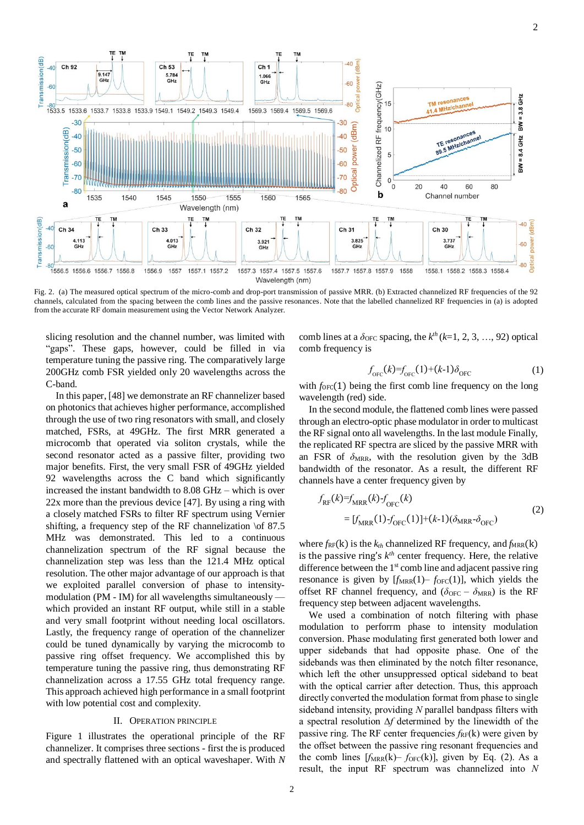

Fig. 2. (a) The measured optical spectrum of the micro-comb and drop-port transmission of passive MRR. (b) Extracted channelized RF frequencies of the 92 channels, calculated from the spacing between the comb lines and the passive resonances. Note that the labelled channelized RF frequencies in (a) is adopted from the accurate RF domain measurement using the Vector Network Analyzer.

slicing resolution and the channel number, was limited with "gaps". These gaps, however, could be filled in via temperature tuning the passive ring. The comparatively large 200GHz comb FSR yielded only 20 wavelengths across the C-band.

In this paper, [48] we demonstrate an RF channelizer based on photonics that achieves higher performance, accomplished through the use of two ring resonators with small, and closely matched, FSRs, at 49GHz. The first MRR generated a microcomb that operated via soliton crystals, while the second resonator acted as a passive filter, providing two major benefits. First, the very small FSR of 49GHz yielded 92 wavelengths across the C band which significantly increased the instant bandwidth to 8.08 GHz – which is over 22x more than the previous device [47]. By using a ring with a closely matched FSRs to filter RF spectrum using Vernier shifting, a frequency step of the RF channelization \of 87.5 MHz was demonstrated. This led to a continuous channelization spectrum of the RF signal because the channelization step was less than the 121.4 MHz optical resolution. The other major advantage of our approach is that we exploited parallel conversion of phase to intensitymodulation (PM - IM) for all wavelengths simultaneously which provided an instant RF output, while still in a stable and very small footprint without needing local oscillators. Lastly, the frequency range of operation of the channelizer could be tuned dynamically by varying the microcomb to passive ring offset frequency. We accomplished this by temperature tuning the passive ring, thus demonstrating RF channelization across a 17.55 GHz total frequency range. This approach achieved high performance in a small footprint with low potential cost and complexity.

## II. OPERATION PRINCIPLE

Figure 1 illustrates the operational principle of the RF channelizer. It comprises three sections - first the is produced and spectrally flattened with an optical waveshaper. With *N* comb lines at a  $\delta_{\text{OFC}}$  spacing, the  $k^{th}$  ( $k=1, 2, 3, ..., 92$ ) optical comb frequency is

$$
f_{\text{OFC}}(k) = f_{\text{OFC}}(1) + (k-1)\delta_{\text{OFC}} \tag{1}
$$

with  $f_{\text{OFC}}(1)$  being the first comb line frequency on the long wavelength (red) side.

In the second module, the flattened comb lines were passed through an electro-optic phase modulator in order to multicast the RF signal onto all wavelengths. In the last module Finally, the replicated RF spectra are sliced by the passive MRR with an FSR of  $\delta_{MRR}$ , with the resolution given by the 3dB bandwidth of the resonator. As a result, the different RF channels have a center frequency given by

$$
f_{RF}(k)=f_{MRR}(k) - f_{OFC}(k)
$$
  
=  $[f_{MRR}(1) - f_{OFC}(1)] + (k-1)(\delta_{MRR} - \delta_{OFC})$  (2)

where  $f_{RF}(k)$  is the  $k_{th}$  channelized RF frequency, and  $f_{MRR}(k)$ is the passive ring's  $k^{th}$  center frequency. Here, the relative difference between the 1<sup>st</sup> comb line and adjacent passive ring resonance is given by  $[f_{MRR}(1) - f_{OFC}(1)]$ , which yields the offset RF channel frequency, and  $(\delta_{OFC} - \delta_{MRR})$  is the RF frequency step between adjacent wavelengths.

We used a combination of notch filtering with phase modulation to perforrm phase to intensity modulation conversion. Phase modulating first generated both lower and upper sidebands that had opposite phase. One of the sidebands was then eliminated by the notch filter resonance, which left the other unsuppressed optical sideband to beat with the optical carrier after detection. Thus, this approach directly converted the modulation format from phase to single sideband intensity, providing *N* parallel bandpass filters with a spectral resolution ∆*f* determined by the linewidth of the passive ring. The RF center frequencies  $f_{RF}(k)$  were given by the offset between the passive ring resonant frequencies and the comb lines  $[f<sub>MRR</sub>(k) - f<sub>OFC</sub>(k)]$ , given by Eq. (2). As a result, the input RF spectrum was channelized into *N*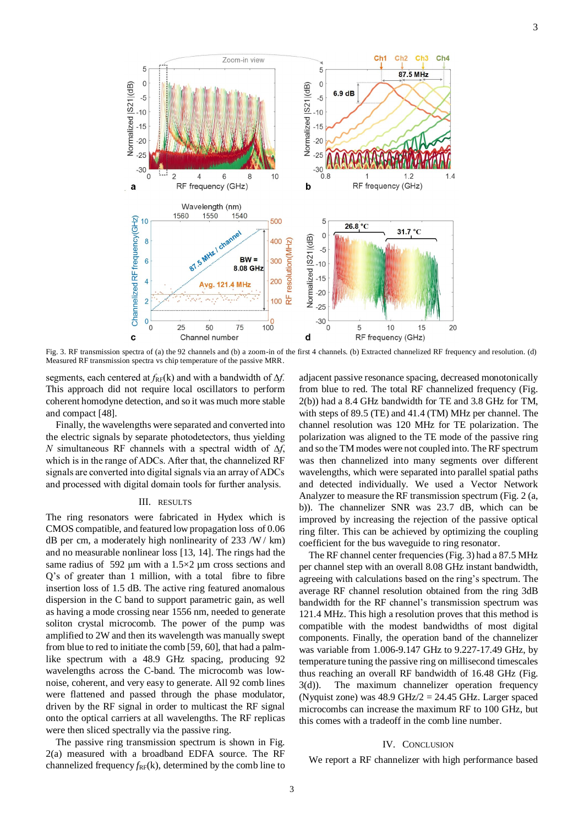

Fig. 3. RF transmission spectra of (a) the 92 channels and (b) a zoom-in of the first 4 channels. (b) Extracted channelized RF frequency and resolution. (d) Measured RF transmission spectra vs chip temperature of the passive MRR.

segments, each centered at *f*<sub>RF</sub>(k) and with a bandwidth of Δ*f*. This approach did not require local oscillators to perform coherent homodyne detection, and so it was much more stable and compact [48].

Finally, the wavelengths were separated and converted into the electric signals by separate photodetectors, thus yielding *N* simultaneous RF channels with a spectral width of ∆*f*, which is in the range of ADCs. After that, the channelized RF signals are converted into digital signals via an array of ADCs and processed with digital domain tools for further analysis.

## III. RESULTS

The ring resonators were fabricated in Hydex which is CMOS compatible, and featured low propagation loss of 0.06 dB per cm, a moderately high nonlinearity of  $233 / W / km$ ) and no measurable nonlinear loss [13, 14]. The rings had the same radius of 592 μm with a  $1.5 \times 2$  μm cross sections and Q's of greater than 1 million, with a total fibre to fibre insertion loss of 1.5 dB. The active ring featured anomalous dispersion in the C band to support parametric gain, as well as having a mode crossing near 1556 nm, needed to generate soliton crystal microcomb. The power of the pump was amplified to 2W and then its wavelength was manually swept from blue to red to initiate the comb [59, 60], that had a palmlike spectrum with a 48.9 GHz spacing, producing 92 wavelengths across the C-band. The microcomb was lownoise, coherent, and very easy to generate. All 92 comb lines were flattened and passed through the phase modulator, driven by the RF signal in order to multicast the RF signal onto the optical carriers at all wavelengths. The RF replicas were then sliced spectrally via the passive ring.

The passive ring transmission spectrum is shown in Fig. 2(a) measured with a broadband EDFA source. The RF channelized frequency  $f_{RF}(k)$ , determined by the comb line to

adjacent passive resonance spacing, decreased monotonically from blue to red. The total RF channelized frequency (Fig. 2(b)) had a 8.4 GHz bandwidth for TE and 3.8 GHz for TM, with steps of 89.5 (TE) and 41.4 (TM) MHz per channel. The channel resolution was 120 MHz for TE polarization. The polarization was aligned to the TE mode of the passive ring and so the TM modes were not coupled into. The RF spectrum was then channelized into many segments over different wavelengths, which were separated into parallel spatial paths and detected individually. We used a Vector Network Analyzer to measure the RF transmission spectrum (Fig. 2 (a, b)). The channelizer SNR was 23.7 dB, which can be improved by increasing the rejection of the passive optical ring filter. This can be achieved by optimizing the coupling coefficient for the bus waveguide to ring resonator.

The RF channel center frequencies (Fig. 3) had a 87.5 MHz per channel step with an overall 8.08 GHz instant bandwidth, agreeing with calculations based on the ring's spectrum. The average RF channel resolution obtained from the ring 3dB bandwidth for the RF channel's transmission spectrum was 121.4 MHz. This high a resolution proves that this method is compatible with the modest bandwidths of most digital components. Finally, the operation band of the channelizer was variable from 1.006-9.147 GHz to 9.227-17.49 GHz, by temperature tuning the passive ring on millisecond timescales thus reaching an overall RF bandwidth of 16.48 GHz (Fig. 3(d)). The maximum channelizer operation frequency (Nyquist zone) was  $48.9$  GHz/ $2 = 24.45$  GHz. Larger spaced microcombs can increase the maximum RF to 100 GHz, but this comes with a tradeoff in the comb line number.

## IV. CONCLUSION

We report a RF channelizer with high performance based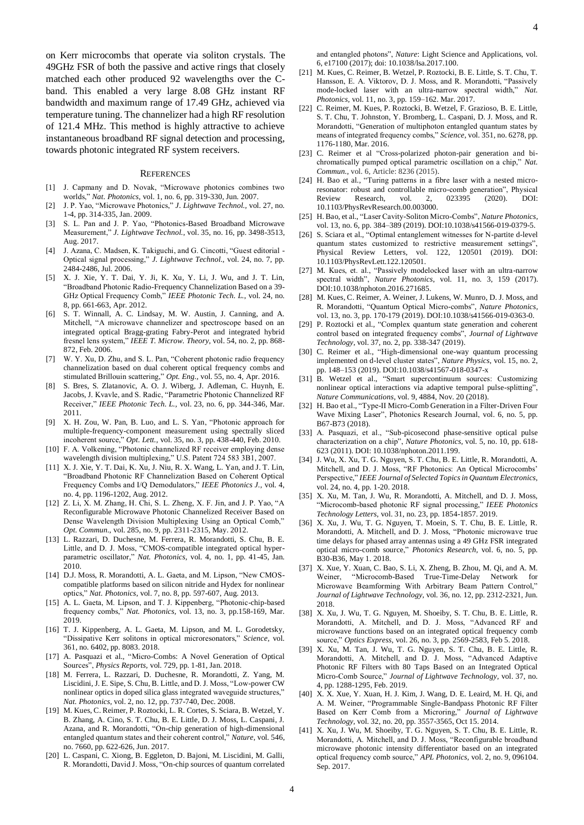on Kerr microcombs that operate via soliton crystals. The 49GHz FSR of both the passive and active rings that closely matched each other produced 92 wavelengths over the Cband. This enabled a very large 8.08 GHz instant RF bandwidth and maximum range of 17.49 GHz, achieved via temperature tuning. The channelizer had a high RF resolution of 121.4 MHz. This method is highly attractive to achieve instantaneous broadband RF signal detection and processing, towards photonic integrated RF system receivers.

#### **REFERENCES**

- [1] J. Capmany and D. Novak, "Microwave photonics combines two worlds," *Nat. Photonics,* vol. 1, no. 6, pp. 319-330, Jun. 2007.
- [2] J. P. Yao, "Microwave Photonics," *J. Lightwave Technol.,* vol. 27, no. 1-4, pp. 314-335, Jan. 2009.
- [3] S. L. Pan and J. P. Yao, "Photonics-Based Broadband Microwave Measurement," *J. Lightwave Technol.*, vol. 35, no. 16, pp. 3498-3513, Aug. 2017.
- [4] J. Azana, C. Madsen, K. Takiguchi, and G. Cincotti, "Guest editorial -Optical signal processing," *J. Lightwave Technol.,* vol. 24, no. 7, pp. 2484-2486, Jul. 2006.
- [5] X. J. Xie, Y. T. Dai, Y. Ji, K. Xu, Y. Li, J. Wu, and J. T. Lin, "Broadband Photonic Radio-Frequency Channelization Based on a 39- GHz Optical Frequency Comb," *IEEE Photonic Tech. L.*, vol. 24, no. 8, pp. 661-663, Apr. 2012.
- [6] S. T. Winnall, A. C. Lindsay, M. W. Austin, J. Canning, and A. Mitchell, "A microwave channelizer and spectroscope based on an integrated optical Bragg-grating Fabry-Perot and integrated hybrid fresnel lens system," *IEEE T. Microw. Theory,* vol. 54, no. 2, pp. 868- 872, Feb. 2006.
- [7] W. Y. Xu, D. Zhu, and S. L. Pan, "Coherent photonic radio frequency channelization based on dual coherent optical frequency combs and stimulated Brillouin scattering," *Opt. Eng.,* vol. 55, no. 4, Apr. 2016.
- [8] S. Bres, S. Zlatanovic, A. O. J. Wiberg, J. Adleman, C. Huynh, E. Jacobs, J. Kvavle, and S. Radic, "Parametric Photonic Channelized RF Receiver," *IEEE Photonic Tech. L.,* vol. 23, no. 6, pp. 344-346, Mar. 2011.
- [9] X. H. Zou, W. Pan, B. Luo, and L. S. Yan, "Photonic approach for multiple-frequency-component measurement using spectrally sliced incoherent source," *Opt. Lett.,* vol. 35, no. 3, pp. 438-440, Feb. 2010.
- [10] F. A. Volkening, "Photonic channelized RF receiver employing dense wavelength division multiplexing," U.S. Patent 724 583 3B1, 2007.
- [11] X. J. Xie, Y. T. Dai, K. Xu, J. Niu, R. X. Wang, L. Yan, and J. T. Lin, "Broadband Photonic RF Channelization Based on Coherent Optical Frequency Combs and I/Q Demodulators," *IEEE Photonics J.,* vol. 4, no. 4, pp. 1196-1202, Aug. 2012.
- [12] Z. Li, X. M. Zhang, H. Chi, S. L. Zheng, X. F. Jin, and J. P. Yao, "A Reconfigurable Microwave Photonic Channelized Receiver Based on Dense Wavelength Division Multiplexing Using an Optical Comb," *Opt. Commun.,* vol. 285, no. 9, pp. 2311-2315, May. 2012.
- [13] L. Razzari, D. Duchesne, M. Ferrera, R. Morandotti, S. Chu, B. E. Little, and D. J. Moss, "CMOS-compatible integrated optical hyperparametric oscillator," *Nat. Photonics,* vol. 4, no. 1, pp. 41-45, Jan. 2010.
- [14] D.J. Moss, R. Morandotti, A. L. Gaeta, and M. Lipson, "New CMOScompatible platforms based on silicon nitride and Hydex for nonlinear optics," *Nat. Photonics,* vol. 7, no. 8, pp. 597-607, Aug. 2013.
- [15] A. L. Gaeta, M. Lipson, and T. J. Kippenberg, "Photonic-chip-based frequency combs," *Nat. Photonics,* vol. 13, no. 3, pp.158-169, Mar. 2019.
- [16] T. J. Kippenberg, A. L. Gaeta, M. Lipson, and M. L. Gorodetsky, "Dissipative Kerr solitons in optical microresonators," *Science,* vol. 361, no. 6402, pp. 8083. 2018.
- [17] A. Pasquazi et al., "Micro-Combs: A Novel Generation of Optical Sources", *Physics Reports,* vol. 729, pp. 1-81, Jan. 2018.
- [18] M. Ferrera, L. Razzari, D. Duchesne, R. Morandotti, Z. Yang, M. Liscidini, J. E. Sipe, S. Chu, B. Little, and D. J. Moss, "Low-power CW nonlinear optics in doped silica glass integrated waveguide structures," *Nat. Photonics,* vol. 2, no. 12, pp. 737-740, Dec. 2008.
- [19] M. Kues, C. Reimer, P. Roztocki, L. R. Cortes, S. Sciara, B. Wetzel, Y. B. Zhang, A. Cino, S. T. Chu, B. E. Little, D. J. Moss, L. Caspani, J. Azana, and R. Morandotti, "On-chip generation of high-dimensional entangled quantum states and their coherent control," *Nature,* vol. 546, no. 7660, pp. 622-626, Jun. 2017.
- [20] L. Caspani, C. Xiong, B. Eggleton, D. Bajoni, M. Liscidini, M. Galli, R. Morandotti, David J. Moss, "On-chip sources of quantum correlated

and entangled photons", *Nature*: Light Science and Applications, vol. 6, e17100 (2017); doi: 10.1038/lsa.2017.100.

- [21] M. Kues, C. Reimer, B. Wetzel, P. Roztocki, B. E. Little, S. T. Chu, T. Hansson, E. A. Viktorov, D. J. Moss, and R. Morandotti, "Passively mode-locked laser with an ultra-narrow spectral width," *Nat. Photonics,* vol. 11, no. 3, pp. 159–162. Mar. 2017.
- [22] C. Reimer, M. Kues, P. Roztocki, B. Wetzel, F. Grazioso, B. E. Little, S. T. Chu, T. Johnston, Y. Bromberg, L. Caspani, D. J. Moss, and R. Morandotti, "Generation of multiphoton entangled quantum states by means of integrated frequency combs," *Science,* vol. 351, no. 6278, pp. 1176-1180, Mar. 2016.
- [23] C. Reimer et al "Cross-polarized photon-pair generation and bichromatically pumped optical parametric oscillation on a chip," *Nat. Commun.,* vol. 6, Article: 8236 (2015).
- [24] H. Bao et al., "Turing patterns in a fibre laser with a nested microresonator: robust and controllable micro-comb generation", Physical<br>Review Research, vol. 2, 023395 (2020). DOI: Review Research, vol. 2, 10.1103/PhysRevResearch.00.003000.
- [25] H. Bao, et al., "Laser Cavity-Soliton Micro-Combs", *Nature Photonics*, vol. 13, no. 6, pp. 384–389 (2019). DOI:10.1038/s41566-019-0379-5.
- [26] S. Sciara et al., "Optimal entanglement witnesses for N-partite d-level quantum states customized to restrictive measurement settings" Physical Review Letters, vol. 122, 120501 (2019). DOI: 10.1103/PhysRevLett.122.120501.
- [27] M. Kues, et. al., "Passively modelocked laser with an ultra-narrow spectral width", *Nature Photonics*, vol. 11, no. 3, 159 (2017). DOI:10.1038/nphoton.2016.271685.
- [28] M. Kues, C. Reimer, A. Weiner, J. Lukens, W. Munro, D. J. Moss, and R. Morandotti, "Quantum Optical Micro-combs", *Nature Photonics*, vol. 13, no. 3, pp. 170-179 (2019). DOI:10.1038/s41566-019-0363-0.
- [29] P. Roztocki et al., "Complex quantum state generation and coherent control based on integrated frequency combs", *Journal of Lightwave Technology*, vol. 37, no. 2, pp. 338-347 (2019).
- [30] C. Reimer et al., "High-dimensional one-way quantum processing implemented on d-level cluster states", *Nature Physics*, vol. 15, no. 2, pp. 148–153 (2019). DOI:10.1038/s41567-018-0347-x
- [31] B. Wetzel et al., "Smart supercontinuum sources: Customizing nonlinear optical interactions via adaptive temporal pulse-splitting", *Nature Communications*, vol. 9, 4884, Nov. 20 (2018).
- [32] H. Bao et al., "Type-II Micro-Comb Generation in a Filter-Driven Four Wave Mixing Laser", Photonics Research Journal, vol. 6, no. 5, pp. B67-B73 (2018).
- [33] A. Pasquazi, et al., "Sub-picosecond phase-sensitive optical pulse characterization on a chip", *Nature Photonics*, vol. 5, no. 10, pp. 618- 623 (2011). DOI: 10.1038/nphoton.2011.199.
- [34] J. Wu, X. Xu, T. G. Nguyen, S. T. Chu, B. E. Little, R. Morandotti, A. Mitchell, and D. J. Moss, "RF Photonics: An Optical Microcombs' Perspective," *IEEE Journal of Selected Topics in Quantum Electronics,* vol. 24, no. 4, pp. 1-20. 2018.
- [35] X. Xu, M. Tan, J. Wu, R. Morandotti, A. Mitchell, and D. J. Moss, "Microcomb-based photonic RF signal processing," *IEEE Photonics Technology Letters,* vol. 31, no. 23, pp. 1854-1857. 2019.
- [36] X. Xu, J. Wu, T. G. Nguyen, T. Moein, S. T. Chu, B. E. Little, R. Morandotti, A. Mitchell, and D. J. Moss, "Photonic microwave true time delays for phased array antennas using a 49 GHz FSR integrated optical micro-comb source," *Photonics Research,* vol. 6, no. 5, pp. B30-B36, May 1. 2018.
- [37] X. Xue, Y. Xuan, C. Bao, S. Li, X. Zheng, B. Zhou, M. Qi, and A. M. Weiner, "Microcomb-Based True-Time-Delay Network for Microwave Beamforming With Arbitrary Beam Pattern Control," *Journal of Lightwave Technology,* vol. 36, no. 12, pp. 2312-2321, Jun. 2018.
- [38] X. Xu, J. Wu, T. G. Nguyen, M. Shoeiby, S. T. Chu, B. E. Little, R. Morandotti, A. Mitchell, and D. J. Moss, "Advanced RF and microwave functions based on an integrated optical frequency comb source," *Optics Express,* vol. 26, no. 3, pp. 2569-2583, Feb 5. 2018.
- [39] X. Xu, M. Tan, J. Wu, T. G. Nguyen, S. T. Chu, B. E. Little, R. Morandotti, A. Mitchell, and D. J. Moss, "Advanced Adaptive Photonic RF Filters with 80 Taps Based on an Integrated Optical Micro-Comb Source," *Journal of Lightwave Technology,* vol. 37, no. 4, pp. 1288-1295, Feb. 2019.
- [40] X. X. Xue, Y. Xuan, H. J. Kim, J. Wang, D. E. Leaird, M. H. Qi, and A. M. Weiner, "Programmable Single-Bandpass Photonic RF Filter Based on Kerr Comb from a Microring," *Journal of Lightwave Technology,* vol. 32, no. 20, pp. 3557-3565, Oct 15. 2014.
- [41] X. Xu, J. Wu, M. Shoeiby, T. G. Nguyen, S. T. Chu, B. E. Little, R. Morandotti, A. Mitchell, and D. J. Moss, "Reconfigurable broadband microwave photonic intensity differentiator based on an integrated optical frequency comb source," *APL Photonics,* vol. 2, no. 9, 096104. Sep. 2017.